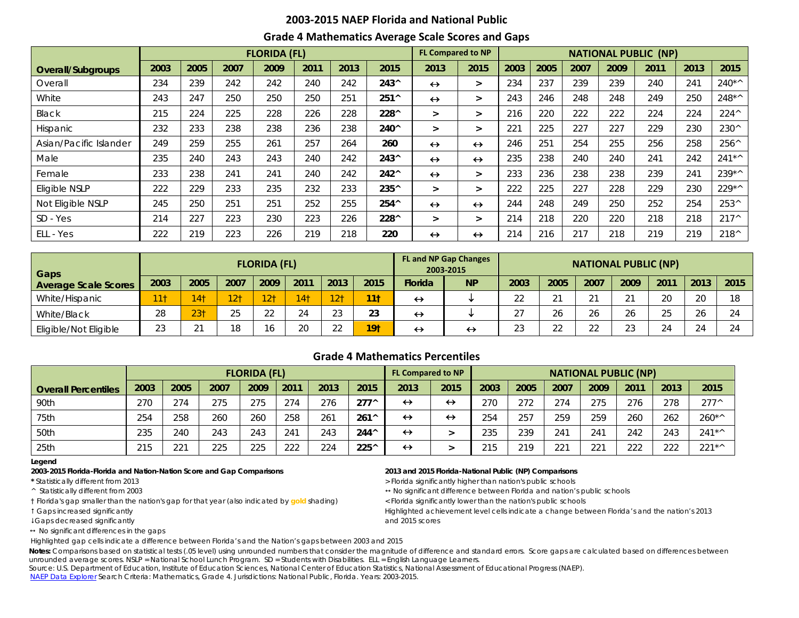## **2003-2015 NAEP Florida and National Public Grade 4 Mathematics Average Scale Scores and Gaps**

|                        |      |      |      | <b>FLORIDA (FL)</b> |      |      |                |                   | <b>FL Compared to NP</b><br><b>NATIONAL PUBLIC (NP)</b> |      |      |      |      |      |      |                |
|------------------------|------|------|------|---------------------|------|------|----------------|-------------------|---------------------------------------------------------|------|------|------|------|------|------|----------------|
| Overall/Subgroups      | 2003 | 2005 | 2007 | 2009                | 2011 | 2013 | 2015           | 2013              | 2015                                                    | 2003 | 2005 | 2007 | 2009 | 2011 | 2013 | 2015           |
| Overall                | 234  | 239  | 242  | 242                 | 240  | 242  | $243^{\circ}$  | $\leftrightarrow$ | $\geq$                                                  | 234  | 237  | 239  | 239  | 240  | 241  | $240**$        |
| White                  | 243  | 247  | 250  | 250                 | 250  | 251  | $251^$         | $\leftrightarrow$ | $\geq$                                                  | 243  | 246  | 248  | 248  | 249  | 250  | $248**$        |
| Black                  | 215  | 224  | 225  | 228                 | 226  | 228  | 228^           | >                 | $\geq$                                                  | 216  | 220  | 222  | 222  | 224  | 224  | $224^{\wedge}$ |
| <b>Hispanic</b>        | 232  | 233  | 238  | 238                 | 236  | 238  | 240^           | >                 | >                                                       | 221  | 225  | 227  | 227  | 229  | 230  | 230^           |
| Asian/Pacific Islander | 249  | 259  | 255  | 261                 | 257  | 264  | 260            | $\leftrightarrow$ | $\leftrightarrow$                                       | 246  | 251  | 254  | 255  | 256  | 258  | 256^           |
| Male                   | 235  | 240  | 243  | 243                 | 240  | 242  | $243^{\circ}$  | $\leftrightarrow$ | $\leftrightarrow$                                       | 235  | 238  | 240  | 240  | 241  | 242  | $241**$        |
| Female                 | 233  | 238  | 241  | 241                 | 240  | 242  | $242^{\wedge}$ | $\leftrightarrow$ | $\geq$                                                  | 233  | 236  | 238  | 238  | 239  | 241  | 239*^          |
| Eligible NSLP          | 222  | 229  | 233  | 235                 | 232  | 233  | 235^           | ⋗                 | $\geq$                                                  | 222  | 225  | 227  | 228  | 229  | 230  | $229**$        |
| Not Eligible NSLP      | 245  | 250  | 251  | 251                 | 252  | 255  | 254^           | $\leftrightarrow$ | $\leftrightarrow$                                       | 244  | 248  | 249  | 250  | 252  | 254  | $253^{\circ}$  |
| SD - Yes               | 214  | 227  | 223  | 230                 | 223  | 226  | 228^           | ⋗                 | $\geq$                                                  | 214  | 218  | 220  | 220  | 218  | 218  | $217^{\wedge}$ |
| ELL - Yes              | 222  | 219  | 223  | 226                 | 219  | 218  | 220            | $\leftrightarrow$ | $\leftrightarrow$                                       | 214  | 216  | 217  | 218  | 219  | 219  | $218^{\wedge}$ |

| Gaps                        | <b>FLORIDA (FL)</b>                                  |                 |                 |                 |                 |                 |                 |                   |                   | <b>FL and NP Gap Changes</b><br><b>NATIONAL PUBLIC (NP)</b> |             |      |      |        |      |      |  |  |  |
|-----------------------------|------------------------------------------------------|-----------------|-----------------|-----------------|-----------------|-----------------|-----------------|-------------------|-------------------|-------------------------------------------------------------|-------------|------|------|--------|------|------|--|--|--|
| <b>Average Scale Scores</b> | 2011<br>2015<br>2003<br>2005<br>2009<br>2013<br>2007 |                 |                 |                 |                 |                 |                 | <b>Florida</b>    | <b>NP</b>         | 2003                                                        | 2005        | 2007 | 2009 | 2011   | 2013 | 2015 |  |  |  |
| White/Hispanic              |                                                      | 14 <sup>†</sup> | 12 <sub>1</sub> | 12 <sub>1</sub> | 14 <sup>†</sup> | 12 <sub>1</sub> | 11 <sub>†</sub> | $\leftrightarrow$ |                   | 22                                                          | $\bigcap$ 1 | 21   | 21   | $\cap$ | 20   | 18   |  |  |  |
| White/Black                 | 28                                                   | 23 <sub>1</sub> | 25              | つつ<br>∠∠        | 24              | $\cap$<br>ں ے   | 23              | $\leftrightarrow$ |                   | 27                                                          | 26          | 26   | 26   | 25     | 26   |      |  |  |  |
| Eligible/Not Eligible       | 23                                                   | $\sim$          | 18              |                 | 20              | $\cap$          | 19 <sub>1</sub> | $\leftrightarrow$ | $\leftrightarrow$ | 23                                                          | つつ<br>∠∠    | 22   | 23   | 24     | 24   |      |  |  |  |

## **Grade 4 Mathematics Percentiles**

|                            |      |      |      | <b>FLORIDA (FL)</b> |      |      |                | <b>NATIONAL PUBLIC (NP)</b><br><b>FL Compared to NP</b> |                   |      |      |      |      |      |      |                |
|----------------------------|------|------|------|---------------------|------|------|----------------|---------------------------------------------------------|-------------------|------|------|------|------|------|------|----------------|
| <b>Overall Percentiles</b> | 2003 | 2005 | 2007 | 2009                | 2011 | 2013 | 2015           | 2013                                                    | 2015              | 2003 | 2005 | 2007 | 2009 | 2011 | 2013 | 2015           |
| 90th                       | 270  | 274  | 275  | 275                 | 274  | 276  | $277^{\wedge}$ | $\leftrightarrow$                                       | $\leftrightarrow$ | 270  | 272  | 274  | 275  | 276  | 278  | $277^{\wedge}$ |
| 75th                       | 254  | 258  | 260  | 260                 | 258  | 261  | $261^$         | $\leftrightarrow$                                       | $\leftrightarrow$ | 254  | 257  | 259  | 259  | 260  | 262  | $260*$         |
| 50th                       | 235  | 240  | 243  | 243                 | 241  | 243  | $244^{\wedge}$ | $\leftrightarrow$                                       |                   | 235  | 239  | 241  | 241  | 242  | 243  | $241**$        |
| 25th                       | 215  | 221  | 225  | 225                 | 222  | 224  | 225^           | $\leftrightarrow$                                       |                   | 215  | 219  | 221  | 221  | 222  | 222  | $221**$        |

**Legend**

### **2003-2015 Florida-Florida and Nation-Nation Score and Gap Comparisons 2013 and 2015 Florida-National Public (NP) Comparisons**

† Florida's gap smaller than the nation's gap for that year (also indicated by **gold** shading) < Florida significantly lower than the nation's public schools

Gaps decreased significantly and 2015 scores

 $\leftrightarrow$  No significant differences in the gaps

\* Statistically different from 2013 **All and Statistically and Statistically higher than nation's public schools** 

^ Statistically different from 2003 No significant difference between Florida and nation's public schools

t Gaps increased significantly examples achievement level cells indicate a change between Florida's and the nation's 2013

Highlighted gap cells indicate a difference between Florida's and the Nation's gaps between 2003 and 2015

Notes: Comparisons based on statistical tests (.05 level) using unrounded numbers that consider the magnitude of difference and standard errors. Score gaps are calculated based on differences between unrounded average scores. NSLP = National School Lunch Program. SD = Students with Disabilities. ELL = English Language Learners.

Source: U.S. Department of Education, Institute of Education Sciences, National Center of Education Statistics, National Assessment of Educational Progress (NAEP). [NAEP Data Explorer](http://nces.ed.gov/nationsreportcard/naepdata/) Search Criteria: Mathematics, Grade 4. Jurisdictions: National Public, Florida. Years: 2003-2015.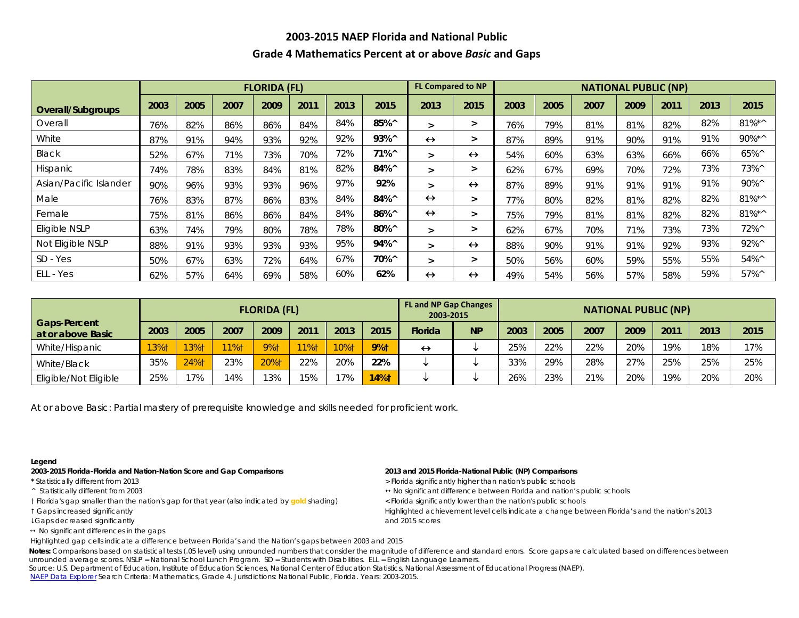# **2003-2015 NAEP Florida and National Public Grade 4 Mathematics Percent at or above** *Basic* **and Gaps**

|                        |      |      |      | <b>FLORIDA (FL)</b> |      |      |                 | <b>FL Compared to NP</b><br><b>NATIONAL PUBLIC (NP)</b> |                   |      |      |      |      |      |      |                |
|------------------------|------|------|------|---------------------|------|------|-----------------|---------------------------------------------------------|-------------------|------|------|------|------|------|------|----------------|
| Overall/Subgroups      | 2003 | 2005 | 2007 | 2009                | 2011 | 2013 | 2015            | 2013                                                    | 2015              | 2003 | 2005 | 2007 | 2009 | 2011 | 2013 | 2015           |
| Overall                | 76%  | 82%  | 86%  | 86%                 | 84%  | 84%  | 85%^            | $\geq$                                                  | $\geq$            | 76%  | 79%  | 81%  | 81%  | 82%  | 82%  | $81\%$ *^      |
| White                  | 87%  | 91%  | 94%  | 93%                 | 92%  | 92%  | $93\%^{\wedge}$ | $\leftrightarrow$                                       | $\geq$            | 87%  | 89%  | 91%  | 90%  | 91%  | 91%  | 90%*^          |
| Black                  | 52%  | 67%  | 71%  | 73%                 | 70%  | 72%  | $71\%^{\circ}$  | $\geq$                                                  | $\leftrightarrow$ | 54%  | 60%  | 63%  | 63%  | 66%  | 66%  | 65%^           |
| Hispanic               | 74%  | 78%  | 83%  | 84%                 | 81%  | 82%  | 84%^            | $\geq$                                                  | $\geq$            | 62%  | 67%  | 69%  | 70%  | 72%  | 73%  | 73%^           |
| Asian/Pacific Islander | 90%  | 96%  | 93%  | 93%                 | 96%  | 97%  | 92%             | $\geq$                                                  | $\leftrightarrow$ | 87%  | 89%  | 91%  | 91%  | 91%  | 91%  | $90\%$         |
| Male                   | 76%  | 83%  | 87%  | 86%                 | 83%  | 84%  | 84%^            | $\leftrightarrow$                                       | $\geq$            | 77%  | 80%  | 82%  | 81%  | 82%  | 82%  | $81\%$ *^      |
| Female                 | 75%  | 81%  | 86%  | 86%                 | 84%  | 84%  | 86%^            | $\leftrightarrow$                                       | $\geq$            | 75%  | 79%  | 81%  | 81%  | 82%  | 82%  | $81\%$ *^      |
| Eligible NSLP          | 63%  | 74%  | 79%  | 80%                 | 78%  | 78%  | 80%^            | $\geq$                                                  | $\geq$            | 62%  | 67%  | 70%  | 71%  | 73%  | 73%  | 72%^           |
| Not Eligible NSLP      | 88%  | 91%  | 93%  | 93%                 | 93%  | 95%  | 94%^            | $\geq$                                                  | $\leftrightarrow$ | 88%  | 90%  | 91%  | 91%  | 92%  | 93%  | 92%^           |
| SD - Yes               | 50%  | 67%  | 63%  | 72%                 | 64%  | 67%  | 70%^            | $\geq$                                                  | $\geq$            | 50%  | 56%  | 60%  | 59%  | 55%  | 55%  | $54\%^{\circ}$ |
| ELL - Yes              | 62%  | 57%  | 64%  | 69%                 | 58%  | 60%  | 62%             | $\leftrightarrow$                                       | $\leftrightarrow$ | 49%  | 54%  | 56%  | 57%  | 58%  | 59%  | $57\%^{\circ}$ |

|                                          |      |         |      | <b>FLORIDA (FL)</b> |      |      |             | <b>FL and NP Gap Changes</b><br>2003-2015 |           | <b>NATIONAL PUBLIC (NP)</b> |      |      |      |      |      |      |  |  |  |
|------------------------------------------|------|---------|------|---------------------|------|------|-------------|-------------------------------------------|-----------|-----------------------------|------|------|------|------|------|------|--|--|--|
| <b>Gaps-Percent</b><br>at or above Basic | 2003 | 2005    | 2007 | 2009                | 2011 | 2013 | 2015        | <b>Florida</b>                            | <b>NP</b> | 2003                        | 2005 | 2007 | 2009 | 2011 | 2013 | 2015 |  |  |  |
| White/Hispanic                           | 13%† | $13%$ † | 11%  | 9%†                 | 11%1 | 10%1 | <b>9%t</b>  | $\leftrightarrow$                         |           | 25%                         | 22%  | 22%  | 20%  | 19%  | 18%  | 17%  |  |  |  |
| White/Black                              | 35%  | 24%†    | 23%  | 20%†                | 22%  | 20%  | 22%         |                                           |           | 33%                         | 29%  | 28%  | 27%  | 25%  | 25%  | 25%  |  |  |  |
| Eligible/Not Eligible                    | 25%  | 17%     | 14%  | 13%                 | 15%  | 17%  | <b>14%t</b> |                                           |           | 26%                         | 23%  | 21%  | 20%  | 19%  | 20%  | 20%  |  |  |  |

At or above *Basic*: Partial mastery of prerequisite knowledge and skills needed for proficient work.

### **Legend**

#### **2003-2015 Florida-Florida and Nation-Nation Score and Gap Comparisons 2013 and 2015 Florida-National Public (NP) Comparisons**

- 
- 
- † Florida's gap smaller than the nation's gap for that year (also indicated by **gold** shading) < Florida significantly lower than the nation's public schools
- 
- Gaps decreased significantly and 2015 scores
- $\leftrightarrow$  No significant differences in the gaps

- \* Statistically different from 2013 **All and Statistically and Statistically higher than nation's public schools**
- ^ Statistically different from 2003 No significant difference between Florida and nation's public schools
	-
- Gaps increased significantly Highlighted achievement level cells indicate a change between Florida's and the nation's 2013
- Highlighted gap cells indicate a difference between Florida's and the Nation's gaps between 2003 and 2015

Notes: Comparisons based on statistical tests (.05 level) using unrounded numbers that consider the magnitude of difference and standard errors. Score gaps are calculated based on differences between unrounded average scores. NSLP = National School Lunch Program. SD = Students with Disabilities. ELL = English Language Learners.

Source: U.S. Department of Education, Institute of Education Sciences, National Center of Education Statistics, National Assessment of Educational Progress (NAEP). [NAEP Data Explorer](http://nces.ed.gov/nationsreportcard/naepdata/) Search Criteria: Mathematics, Grade 4. Jurisdictions: National Public, Florida. Years: 2003-2015.